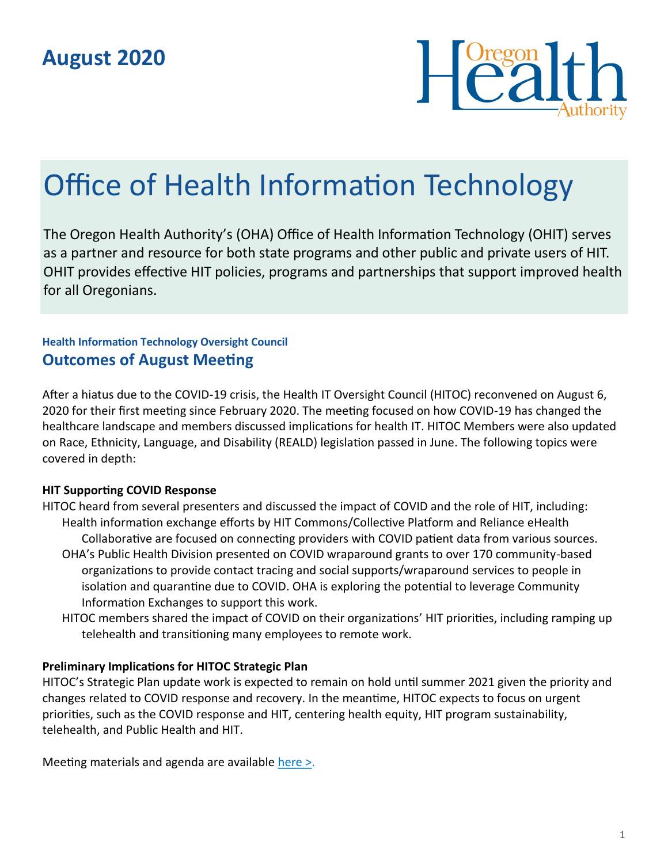

# Office of Health Information Technology

The Oregon Health Authority's (OHA) Office of Health Information Technology (OHIT) serves as a partner and resource for both state programs and other public and private users of HIT. OHIT provides effective HIT policies, programs and partnerships that support improved health for all Oregonians.

### **Health Information Technology Oversight Council Outcomes of August Meeting**

After a hiatus due to the COVID-19 crisis, the Health IT Oversight Council (HITOC) reconvened on August 6, 2020 for their first meeting since February 2020. The meeting focused on how COVID-19 has changed the healthcare landscape and members discussed implications for health IT. HITOC Members were also updated on Race, Ethnicity, Language, and Disability (REALD) legislation passed in June. The following topics were covered in depth:

#### **HIT Supporting COVID Response**

- HITOC heard from several presenters and discussed the impact of COVID and the role of HIT, including: Health information exchange efforts by HIT Commons/Collective Platform and Reliance eHealth Collaborative are focused on connecting providers with COVID patient data from various sources.
	- OHA's Public Health Division presented on COVID wraparound grants to over 170 community-based organizations to provide contact tracing and social supports/wraparound services to people in isolation and quarantine due to COVID. OHA is exploring the potential to leverage Community Information Exchanges to support this work.
	- HITOC members shared the impact of COVID on their organizations' HIT priorities, including ramping up telehealth and transitioning many employees to remote work.

#### **Preliminary Implications for HITOC Strategic Plan**

HITOC's Strategic Plan update work is expected to remain on hold until summer 2021 given the priority and changes related to COVID response and recovery. In the meantime, HITOC expects to focus on urgent priorities, such as the COVID response and HIT, centering health equity, HIT program sustainability, telehealth, and Public Health and HIT.

Meeting materials and agenda are available [here >.](https://www.oregon.gov/oha/HPA/OHIT-HITOC/Pages/HITOC-Meetings.aspx)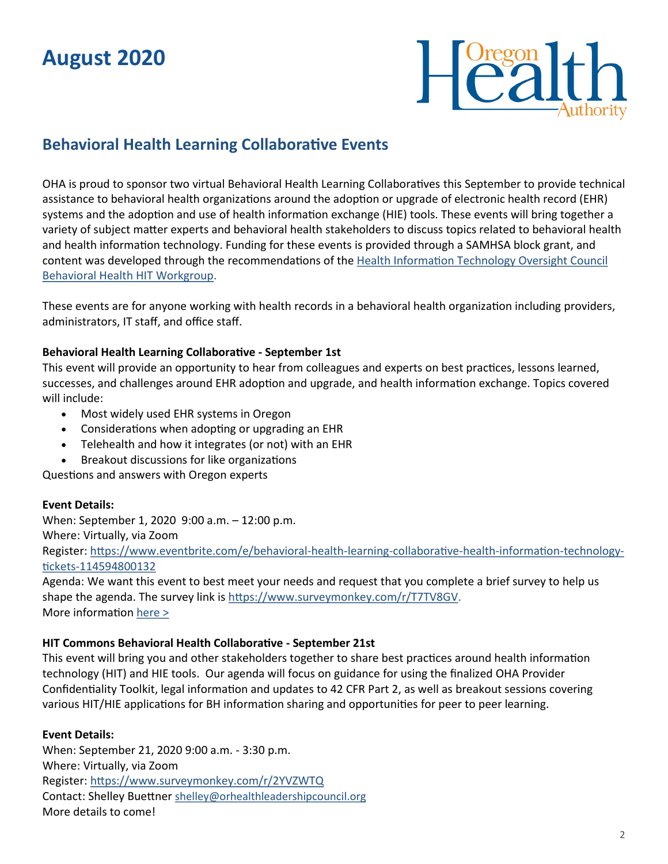## **August 2020**



## **Behavioral Health Learning Collaborative Events**

OHA is proud to sponsor two virtual Behavioral Health Learning Collaboratives this September to provide technical assistance to behavioral health organizations around the adoption or upgrade of electronic health record (EHR) systems and the adoption and use of health information exchange (HIE) tools. These events will bring together a variety of subject matter experts and behavioral health stakeholders to discuss topics related to behavioral health and health information technology. Funding for these events is provided through a SAMHSA block grant, and content was developed through the recommendations of the [Health Information Technology Oversight Council](https://www.oregon.gov/oha/HPA/OHIT-HITOC/Pages/Behavioral-Health-HIT.aspx)  [Behavioral Health HIT Workgroup.](https://www.oregon.gov/oha/HPA/OHIT-HITOC/Pages/Behavioral-Health-HIT.aspx) 

These events are for anyone working with health records in a behavioral health organization including providers, administrators, IT staff, and office staff.

#### **Behavioral Health Learning Collaborative - September 1st**

This event will provide an opportunity to hear from colleagues and experts on best practices, lessons learned, successes, and challenges around EHR adoption and upgrade, and health information exchange. Topics covered will include:

- Most widely used EHR systems in Oregon
- Considerations when adopting or upgrading an EHR
- Telehealth and how it integrates (or not) with an EHR
- Breakout discussions for like organizations

Questions and answers with Oregon experts

#### **Event Details:**

When: September 1, 2020 9:00 a.m. – 12:00 p.m.

Where: Virtually, via Zoom

Register: [https://www.eventbrite.com/e/behavioral](https://www.eventbrite.com/e/behavioral-health-learning-collaborative-health-information-technology-tickets-114594800132)-health-learning-collaborative-health-information-technologytickets-[114594800132](https://www.eventbrite.com/e/behavioral-health-learning-collaborative-health-information-technology-tickets-114594800132)

Agenda: We want this event to best meet your needs and request that you complete a brief survey to help us shape the agenda. The survey link is [https://www.surveymonkey.com/r/T7TV8GV.](https://www.surveymonkey.com/r/T7TV8GV) More information [here >](https://www.eventbrite.com/e/behavioral-health-learning-collaborative-health-information-technology-tickets-114594800132)

#### **HIT Commons Behavioral Health Collaborative - September 21st**

This event will bring you and other stakeholders together to share best practices around health information technology (HIT) and HIE tools. Our agenda will focus on guidance for using the finalized OHA Provider Confidentiality Toolkit, legal information and updates to 42 CFR Part 2, as well as breakout sessions covering various HIT/HIE applications for BH information sharing and opportunities for peer to peer learning.

#### **Event Details:**

When: September 21, 2020 9:00 a.m. - 3:30 p.m. Where: Virtually, via Zoom Register: <https://www.surveymonkey.com/r/2YVZWTQ> Contact: Shelley Buettner [shelley@orhealthleadershipcouncil.org](mailto:shelley@orhealthleadershipcouncil.org) More details to come!